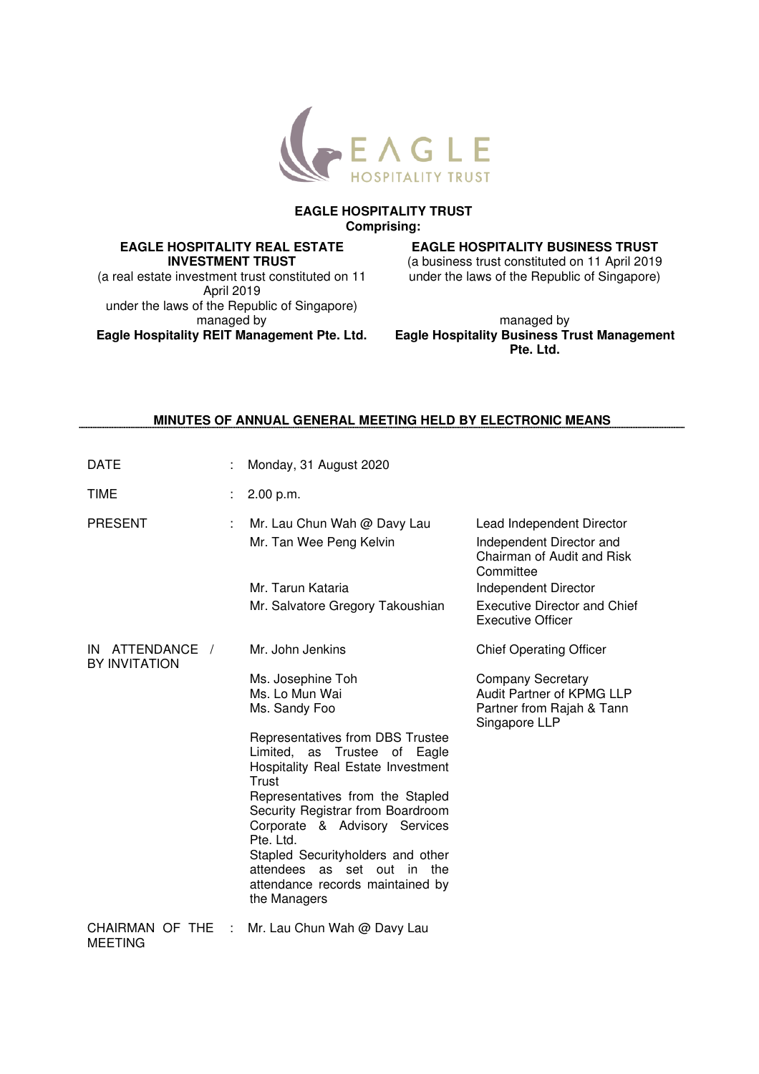

#### **EAGLE HOSPITALITY TRUST Comprising:**

### **EAGLE HOSPITALITY REAL ESTATE INVESTMENT TRUST**

(a real estate investment trust constituted on 11 April 2019 under the laws of the Republic of Singapore) managed by **Eagle Hospitality REIT Management Pte. Ltd.** 

# **EAGLE HOSPITALITY BUSINESS TRUST**

(a business trust constituted on 11 April 2019 under the laws of the Republic of Singapore)

managed by **Eagle Hospitality Business Trust Management Pte. Ltd.** 

## **MINUTES OF ANNUAL GENERAL MEETING HELD BY ELECTRONIC MEANS**

| <b>DATE</b>                         |   | Monday, 31 August 2020                                                                                                                                                                                                                                                                                                                                                                                                                     |                                                                                                                                                                                             |
|-------------------------------------|---|--------------------------------------------------------------------------------------------------------------------------------------------------------------------------------------------------------------------------------------------------------------------------------------------------------------------------------------------------------------------------------------------------------------------------------------------|---------------------------------------------------------------------------------------------------------------------------------------------------------------------------------------------|
| <b>TIME</b>                         |   | 2.00 p.m.                                                                                                                                                                                                                                                                                                                                                                                                                                  |                                                                                                                                                                                             |
| <b>PRESENT</b>                      | ÷ | Mr. Lau Chun Wah @ Davy Lau<br>Mr. Tan Wee Peng Kelvin<br>Mr. Tarun Kataria<br>Mr. Salvatore Gregory Takoushian                                                                                                                                                                                                                                                                                                                            | Lead Independent Director<br>Independent Director and<br>Chairman of Audit and Risk<br>Committee<br>Independent Director<br><b>Executive Director and Chief</b><br><b>Executive Officer</b> |
| ATTENDANCE /<br>IN<br>BY INVITATION |   | Mr. John Jenkins<br>Ms. Josephine Toh<br>Ms. Lo Mun Wai<br>Ms. Sandy Foo<br>Representatives from DBS Trustee<br>Limited, as Trustee of Eagle<br>Hospitality Real Estate Investment<br>Trust<br>Representatives from the Stapled<br>Security Registrar from Boardroom<br>Corporate & Advisory Services<br>Pte. Ltd.<br>Stapled Securityholders and other<br>attendees as set out in the<br>attendance records maintained by<br>the Managers | <b>Chief Operating Officer</b><br><b>Company Secretary</b><br><b>Audit Partner of KPMG LLP</b><br>Partner from Rajah & Tann<br>Singapore LLP                                                |
| CHAIRMAN OF THE<br><b>MEETING</b>   |   | Mr. Lau Chun Wah @ Davy Lau                                                                                                                                                                                                                                                                                                                                                                                                                |                                                                                                                                                                                             |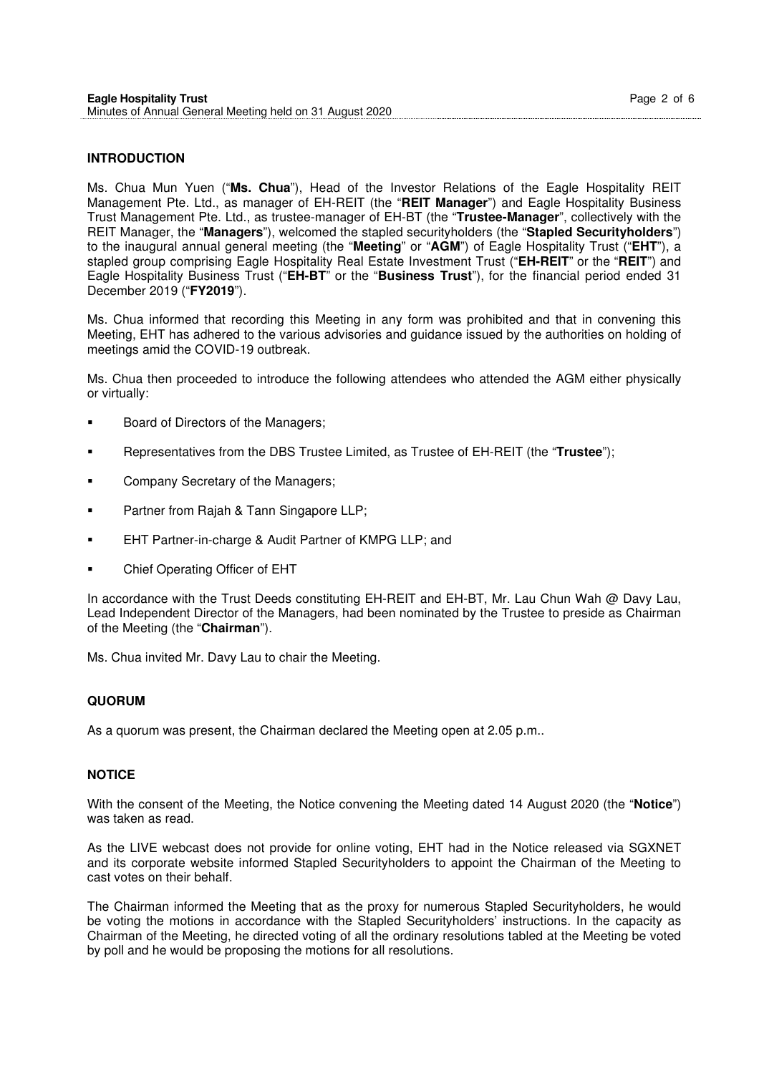### **INTRODUCTION**

Ms. Chua Mun Yuen ("**Ms. Chua**"), Head of the Investor Relations of the Eagle Hospitality REIT Management Pte. Ltd., as manager of EH-REIT (the "**REIT Manager**") and Eagle Hospitality Business Trust Management Pte. Ltd., as trustee-manager of EH-BT (the "**Trustee-Manager**", collectively with the REIT Manager, the "**Managers**"), welcomed the stapled securityholders (the "**Stapled Securityholders**") to the inaugural annual general meeting (the "**Meeting**" or "**AGM**") of Eagle Hospitality Trust ("**EHT**"), a stapled group comprising Eagle Hospitality Real Estate Investment Trust ("**EH-REIT**" or the "**REIT**") and Eagle Hospitality Business Trust ("**EH-BT**" or the "**Business Trust**"), for the financial period ended 31 December 2019 ("**FY2019**").

Ms. Chua informed that recording this Meeting in any form was prohibited and that in convening this Meeting, EHT has adhered to the various advisories and guidance issued by the authorities on holding of meetings amid the COVID-19 outbreak.

Ms. Chua then proceeded to introduce the following attendees who attended the AGM either physically or virtually:

- Board of Directors of the Managers;
- Representatives from the DBS Trustee Limited, as Trustee of EH-REIT (the "**Trustee**");
- Company Secretary of the Managers;
- Partner from Rajah & Tann Singapore LLP;
- EHT Partner-in-charge & Audit Partner of KMPG LLP; and
- Chief Operating Officer of EHT

In accordance with the Trust Deeds constituting EH-REIT and EH-BT, Mr. Lau Chun Wah @ Davy Lau, Lead Independent Director of the Managers, had been nominated by the Trustee to preside as Chairman of the Meeting (the "**Chairman**").

Ms. Chua invited Mr. Davy Lau to chair the Meeting.

#### **QUORUM**

As a quorum was present, the Chairman declared the Meeting open at 2.05 p.m..

#### **NOTICE**

With the consent of the Meeting, the Notice convening the Meeting dated 14 August 2020 (the "**Notice**") was taken as read.

As the LIVE webcast does not provide for online voting, EHT had in the Notice released via SGXNET and its corporate website informed Stapled Securityholders to appoint the Chairman of the Meeting to cast votes on their behalf.

The Chairman informed the Meeting that as the proxy for numerous Stapled Securityholders, he would be voting the motions in accordance with the Stapled Securityholders' instructions. In the capacity as Chairman of the Meeting, he directed voting of all the ordinary resolutions tabled at the Meeting be voted by poll and he would be proposing the motions for all resolutions.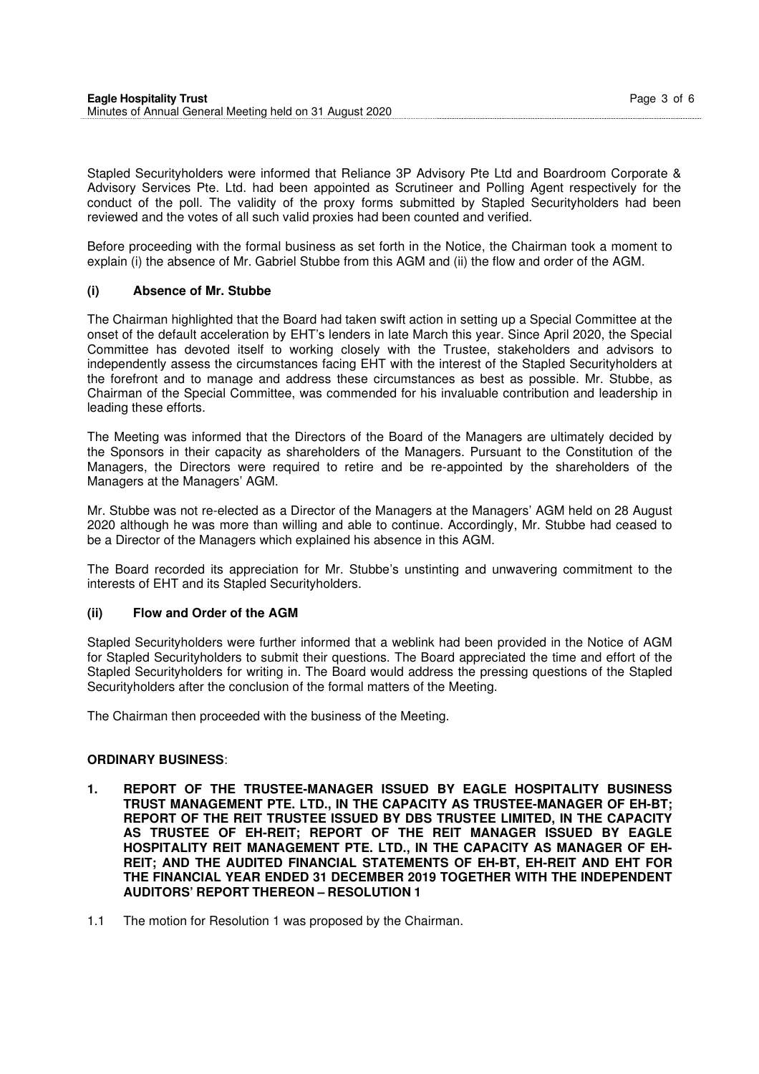| <b>Eagle Hospitality Trust</b>                           | Page 3 of 6 |
|----------------------------------------------------------|-------------|
| Minutes of Annual General Meeting held on 31 August 2020 |             |

Stapled Securityholders were informed that Reliance 3P Advisory Pte Ltd and Boardroom Corporate & Advisory Services Pte. Ltd. had been appointed as Scrutineer and Polling Agent respectively for the conduct of the poll. The validity of the proxy forms submitted by Stapled Securityholders had been reviewed and the votes of all such valid proxies had been counted and verified.

Before proceeding with the formal business as set forth in the Notice, the Chairman took a moment to explain (i) the absence of Mr. Gabriel Stubbe from this AGM and (ii) the flow and order of the AGM.

#### **(i) Absence of Mr. Stubbe**

The Chairman highlighted that the Board had taken swift action in setting up a Special Committee at the onset of the default acceleration by EHT's lenders in late March this year. Since April 2020, the Special Committee has devoted itself to working closely with the Trustee, stakeholders and advisors to independently assess the circumstances facing EHT with the interest of the Stapled Securityholders at the forefront and to manage and address these circumstances as best as possible. Mr. Stubbe, as Chairman of the Special Committee, was commended for his invaluable contribution and leadership in leading these efforts.

The Meeting was informed that the Directors of the Board of the Managers are ultimately decided by the Sponsors in their capacity as shareholders of the Managers. Pursuant to the Constitution of the Managers, the Directors were required to retire and be re-appointed by the shareholders of the Managers at the Managers' AGM.

Mr. Stubbe was not re-elected as a Director of the Managers at the Managers' AGM held on 28 August 2020 although he was more than willing and able to continue. Accordingly, Mr. Stubbe had ceased to be a Director of the Managers which explained his absence in this AGM.

The Board recorded its appreciation for Mr. Stubbe's unstinting and unwavering commitment to the interests of EHT and its Stapled Securityholders.

#### **(ii) Flow and Order of the AGM**

Stapled Securityholders were further informed that a weblink had been provided in the Notice of AGM for Stapled Securityholders to submit their questions. The Board appreciated the time and effort of the Stapled Securityholders for writing in. The Board would address the pressing questions of the Stapled Securityholders after the conclusion of the formal matters of the Meeting.

The Chairman then proceeded with the business of the Meeting.

#### **ORDINARY BUSINESS**:

- **1. REPORT OF THE TRUSTEE-MANAGER ISSUED BY EAGLE HOSPITALITY BUSINESS TRUST MANAGEMENT PTE. LTD., IN THE CAPACITY AS TRUSTEE-MANAGER OF EH-BT; REPORT OF THE REIT TRUSTEE ISSUED BY DBS TRUSTEE LIMITED, IN THE CAPACITY AS TRUSTEE OF EH-REIT; REPORT OF THE REIT MANAGER ISSUED BY EAGLE HOSPITALITY REIT MANAGEMENT PTE. LTD., IN THE CAPACITY AS MANAGER OF EH-REIT; AND THE AUDITED FINANCIAL STATEMENTS OF EH-BT, EH-REIT AND EHT FOR THE FINANCIAL YEAR ENDED 31 DECEMBER 2019 TOGETHER WITH THE INDEPENDENT AUDITORS' REPORT THEREON – RESOLUTION 1**
- 1.1 The motion for Resolution 1 was proposed by the Chairman.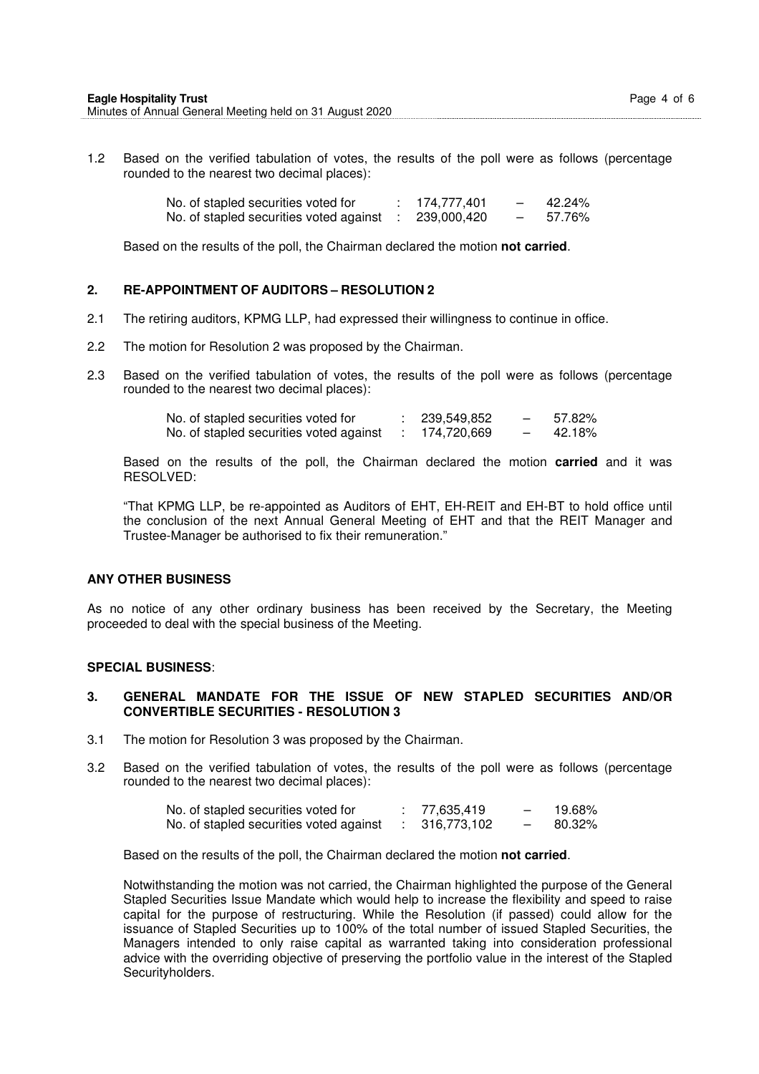1.2 Based on the verified tabulation of votes, the results of the poll were as follows (percentage rounded to the nearest two decimal places):

| No. of stapled securities voted for     | 174,777,401 | $\overline{\phantom{0}}$ | 42.24% |
|-----------------------------------------|-------------|--------------------------|--------|
| No. of stapled securities voted against | 239,000,420 |                          | 57.76% |

Based on the results of the poll, the Chairman declared the motion **not carried**.

#### **2. RE-APPOINTMENT OF AUDITORS – RESOLUTION 2**

- 2.1 The retiring auditors, KPMG LLP, had expressed their willingness to continue in office.
- 2.2 The motion for Resolution 2 was proposed by the Chairman.
- 2.3 Based on the verified tabulation of votes, the results of the poll were as follows (percentage rounded to the nearest two decimal places):

| No. of stapled securities voted for     | 239,549,852 | 57.82% |
|-----------------------------------------|-------------|--------|
| No. of stapled securities voted against | 174,720,669 | 42.18% |

Based on the results of the poll, the Chairman declared the motion **carried** and it was RESOLVED:

"That KPMG LLP, be re-appointed as Auditors of EHT, EH-REIT and EH-BT to hold office until the conclusion of the next Annual General Meeting of EHT and that the REIT Manager and Trustee-Manager be authorised to fix their remuneration."

#### **ANY OTHER BUSINESS**

As no notice of any other ordinary business has been received by the Secretary, the Meeting proceeded to deal with the special business of the Meeting.

#### **SPECIAL BUSINESS**:

#### **3. GENERAL MANDATE FOR THE ISSUE OF NEW STAPLED SECURITIES AND/OR CONVERTIBLE SECURITIES - RESOLUTION 3**

- 3.1 The motion for Resolution 3 was proposed by the Chairman.
- 3.2 Based on the verified tabulation of votes, the results of the poll were as follows (percentage rounded to the nearest two decimal places):

| No. of stapled securities voted for     | 77.635.419  | 19.68% |
|-----------------------------------------|-------------|--------|
| No. of stapled securities voted against | 316,773,102 | 80.32% |

Based on the results of the poll, the Chairman declared the motion **not carried**.

Notwithstanding the motion was not carried, the Chairman highlighted the purpose of the General Stapled Securities Issue Mandate which would help to increase the flexibility and speed to raise capital for the purpose of restructuring. While the Resolution (if passed) could allow for the issuance of Stapled Securities up to 100% of the total number of issued Stapled Securities, the Managers intended to only raise capital as warranted taking into consideration professional advice with the overriding objective of preserving the portfolio value in the interest of the Stapled Securityholders.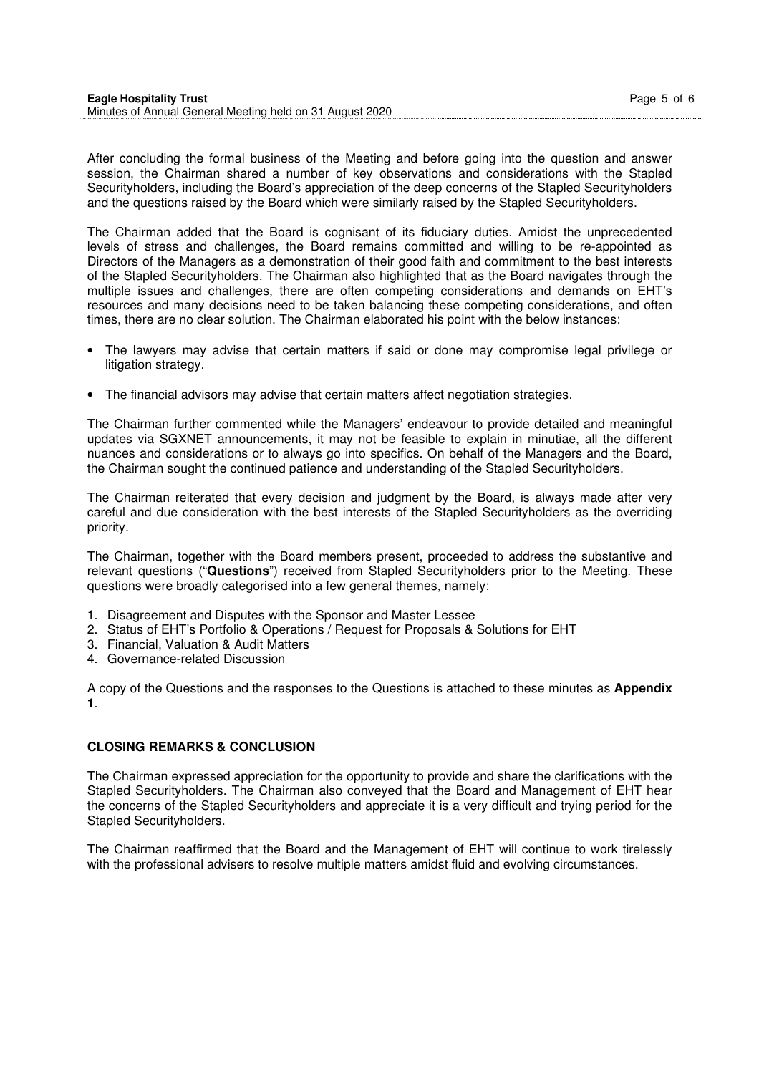| <b>Eagle Hospitality Trust</b>                           | Page 5 of 6 |  |
|----------------------------------------------------------|-------------|--|
| Minutes of Annual General Meeting held on 31 August 2020 |             |  |
|                                                          |             |  |

After concluding the formal business of the Meeting and before going into the question and answer session, the Chairman shared a number of key observations and considerations with the Stapled Securityholders, including the Board's appreciation of the deep concerns of the Stapled Securityholders and the questions raised by the Board which were similarly raised by the Stapled Securityholders.

The Chairman added that the Board is cognisant of its fiduciary duties. Amidst the unprecedented levels of stress and challenges, the Board remains committed and willing to be re-appointed as Directors of the Managers as a demonstration of their good faith and commitment to the best interests of the Stapled Securityholders. The Chairman also highlighted that as the Board navigates through the multiple issues and challenges, there are often competing considerations and demands on EHT's resources and many decisions need to be taken balancing these competing considerations, and often times, there are no clear solution. The Chairman elaborated his point with the below instances:

- The lawyers may advise that certain matters if said or done may compromise legal privilege or litigation strategy.
- The financial advisors may advise that certain matters affect negotiation strategies.

The Chairman further commented while the Managers' endeavour to provide detailed and meaningful updates via SGXNET announcements, it may not be feasible to explain in minutiae, all the different nuances and considerations or to always go into specifics. On behalf of the Managers and the Board, the Chairman sought the continued patience and understanding of the Stapled Securityholders.

The Chairman reiterated that every decision and judgment by the Board, is always made after very careful and due consideration with the best interests of the Stapled Securityholders as the overriding priority.

The Chairman, together with the Board members present, proceeded to address the substantive and relevant questions ("**Questions**") received from Stapled Securityholders prior to the Meeting. These questions were broadly categorised into a few general themes, namely:

- 1. Disagreement and Disputes with the Sponsor and Master Lessee
- 2. Status of EHT's Portfolio & Operations / Request for Proposals & Solutions for EHT
- 3. Financial, Valuation & Audit Matters
- 4. Governance-related Discussion

A copy of the Questions and the responses to the Questions is attached to these minutes as **Appendix 1**.

#### **CLOSING REMARKS & CONCLUSION**

The Chairman expressed appreciation for the opportunity to provide and share the clarifications with the Stapled Securityholders. The Chairman also conveyed that the Board and Management of EHT hear the concerns of the Stapled Securityholders and appreciate it is a very difficult and trying period for the Stapled Securityholders.

The Chairman reaffirmed that the Board and the Management of EHT will continue to work tirelessly with the professional advisers to resolve multiple matters amidst fluid and evolving circumstances.